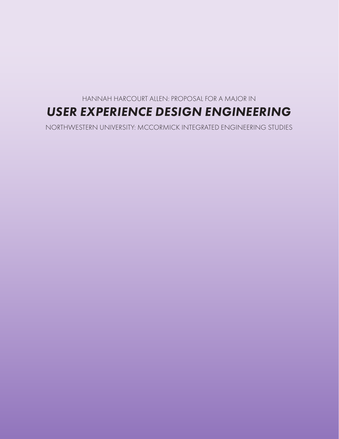# HANNAH HARCOURT ALLEN: PROPOSAL FOR A MAJOR IN *USER EXPERIENCE DESIGN ENGINEERING*

NORTHWESTERN UNIVERSITY: MCCORMICK INTEGRATED ENGINEERING STUDIES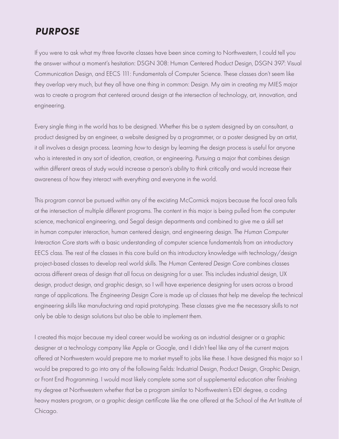# *PURPOSE*

If you were to ask what my three favorite classes have been since coming to Northwestern, I could tell you the answer without a moment's hesitation: DSGN 308: Human Centered Product Design, DSGN 397: Visual Communication Design, and EECS 111: Fundamentals of Computer Science. These classes don't seem like they overlap very much, but they all have one thing in common: Design. My aim in creating my MIES major was to create a program that centered around design at the intersection of technology, art, innovation, and engineering.

Every single thing in the world has to be designed. Whether this be a system designed by an consultant, a product designed by an engineer, a website designed by a programmer, or a poster designed by an artist, it all involves a design process. Learning *how* to design by learning the design process is useful for anyone who is interested in any sort of ideation, creation, or engineering. Pursuing a major that combines design within different areas of study would increase a person's ability to think critically and would increase their awareness of how they interact with everything and everyone in the world.

This program cannot be pursued within any of the excisting McCormick majors because the focal area falls at the intersection of multiple different programs. The content in this major is being pulled from the computer science, mechanical engineering, and Segal design departments and combined to give me a skill set in human computer interaction, human centered design, and engineering design. The *Human Computer Interaction Core* starts with a basic understanding of computer science fundamentals from an introductory EECS class. The rest of the classes in this core build on this introductory knowledge with technology/design project-based classes to develop real world skills. The *Human Centered Design Core* combines classes across different areas of design that all focus on designing for a user. This includes industrial design, UX design, product design, and graphic design, so I will have experience designing for users across a broad range of applications. The *Engineering Design Core* is made up of classes that help me develop the technical engineering skills like manufacturing and rapid prototyping. These classes give me the necessary skills to not only be able to design solutions but also be able to implement them.

I created this major because my ideal career would be working as an industrial designer or a graphic designer at a technology company like Apple or Google, and I didn't feel like any of the current majors offered at Northwestern would prepare me to market myself to jobs like these. I have designed this major so I would be prepared to go into any of the following fields: Industrial Design, Product Design, Graphic Design, or Front End Programming. I would most likely complete some sort of supplemental education after finishing my degree at Northwestern whether that be a program similar to Northwestern's EDI degree, a coding heavy masters program, or a graphic design certificate like the one offered at the School of the Art Institute of Chicago.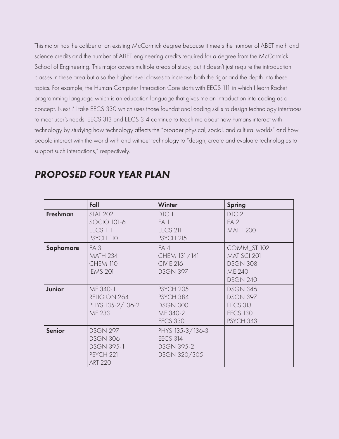This major has the caliber of an existing McCormick degree because it meets the number of ABET math and science credits and the number of ABET engineering credits required for a degree from the McCormick School of Engineering. This major covers multiple areas of study, but it doesn't just require the introduction classes in these area but also the higher level classes to increase both the rigor and the depth into these topics. For example, the Human Computer Interaction Core starts with EECS 111 in which I learn Racket programming language which is an education language that gives me an introduction into coding as a concept. Next I'll take EECS 330 which uses those foundational coding skills to design technology interfaces to meet user's needs. EECS 313 and EECS 314 continue to teach me about how humans interact with technology by studying how technology affects the "broader physical, social, and cultural worlds" and how people interact with the world with and without technology to "design, create and evaluate technologies to support such interactions," respectively.

#### Fall Winter Spring Freshman STAT 202 SOCIO 101-6 EECS 111 PSYCH 110 DTC 1 EA 1 EECS 211 PSYCH 215 DTC 2 FA<sub>2</sub> MATH 230 Sophomore  $|EA 3$ MATH 234 CHEM 110 IEMS 201 EA 4 CHEM 131/141 CIV E 216 DSGN 397 COMM\_ST 102 MAT SCI 201 DSGN 308 ME 240 DSGN 240 **Junior**  $ME 340-1$ RELIGION 264 PHYS 135-2/136-2 ME 233 PSYCH 205 PSYCH 384 DSGN 300 ME 340-2 EECS 330 DSGN 346 DSGN 397 EECS 313 EECS 130 PSYCH 343 Senior | DSGN 297 DSGN 306 DSGN 395-1 PSYCH 221 ART 220 PHYS 135-3/136-3 EECS 314 DSGN 395-2 DSGN 320/305

# *PROPOSED FOUR YEAR PLAN*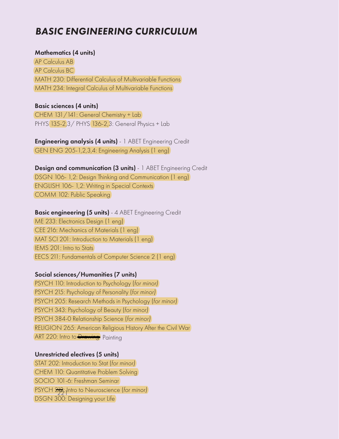# *BASIC ENGINEERING CURRICULUM*

#### Mathematics (4 units)

AP Calculus AB AP Calculus BC MATH 230: Differential Calculus of Multivariable Functions MATH 234: Integral Calculus of Multivariable Functions

### Basic sciences (4 units)

CHEM 131/141: General Chemistry + Lab PHYS 135-2,3/ PHYS 136-2,3: General Physics + Lab

**Engineering analysis (4 units)** - 1 ABET Engineering Credit GEN ENG 205-1,2,3,4: Engineering Analysis (1 eng)

# **Design and communication (3 units)** - 1 ABET Engineering Credit

DSGN 106- 1,2: Design Thinking and Communication (1 eng) ENGLISH 106- 1,2: Writing in Special Contexts COMM 102: Public Speaking

# **Basic engineering (5 units)** - 4 ABET Engineering Credit

ME 233: Electronics Design (1 eng) CEE 216: Mechanics of Materials (1 eng) MAT SCI 201: Introduction to Materials (1 eng) IEMS 201: Intro to Stats EECS 211: Fundamentals of Computer Science 2 (1 eng)

# Social sciences/Humanities (7 units)

PSYCH 110: Introduction to Psychology (*for minor)* PSYCH 215: Psychology of Personality (*for minor)* PSYCH 205: Research Methods in Psychology (*for minor)* PSYCH 343: Psychology of Beauty (*for minor)* PSYCH 384-0 Relationship Science (*for minor)* RELIGION 265: American Religious History After the Civil War ART 220: Intro to <del>Drawing</del> Painting

# Unrestricted electives (5 units)

STAT 202: Introduction to Stat (*for minor)* CHEM 110: Quantitative Problem Solving SOCIO 101-6: Freshman Seminar PSYCH 222: Intro to Neuroscience (for minor) DSGN 300: Designing your Life